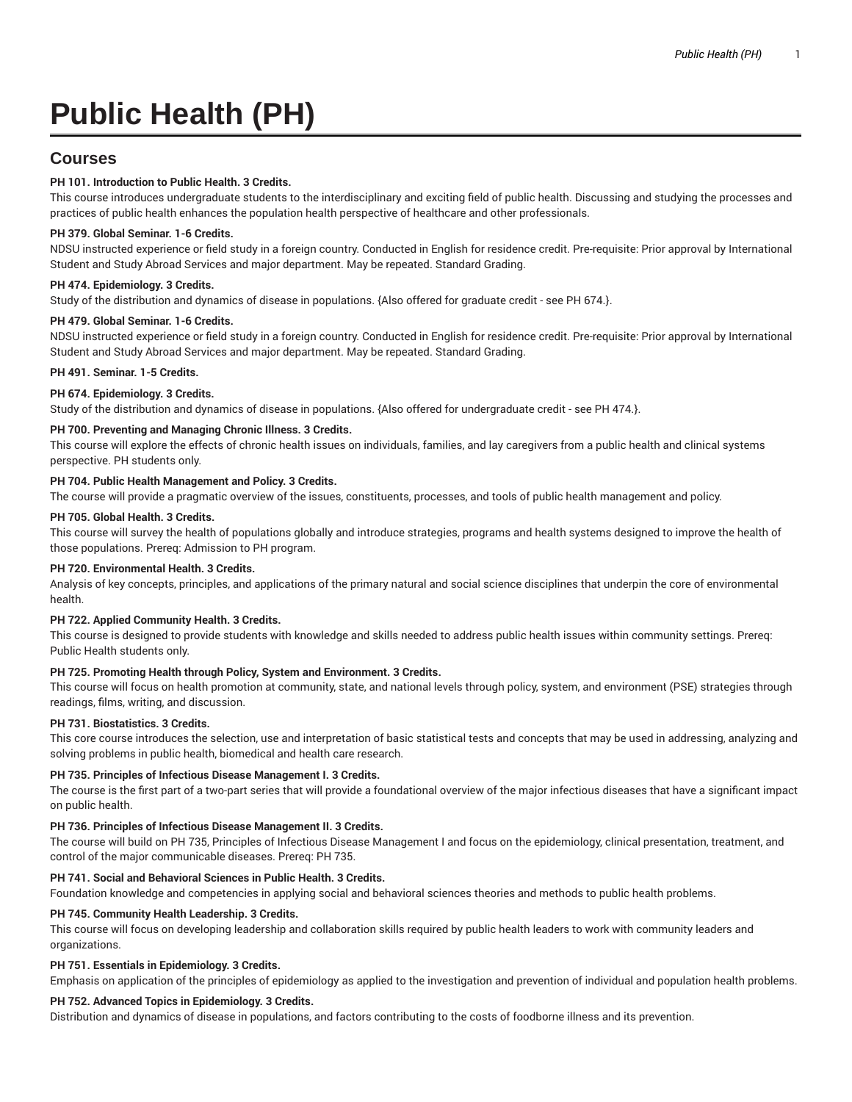# **Public Health (PH)**

# **Courses**

# **PH 101. Introduction to Public Health. 3 Credits.**

This course introduces undergraduate students to the interdisciplinary and exciting field of public health. Discussing and studying the processes and practices of public health enhances the population health perspective of healthcare and other professionals.

# **PH 379. Global Seminar. 1-6 Credits.**

NDSU instructed experience or field study in a foreign country. Conducted in English for residence credit. Pre-requisite: Prior approval by International Student and Study Abroad Services and major department. May be repeated. Standard Grading.

# **PH 474. Epidemiology. 3 Credits.**

Study of the distribution and dynamics of disease in populations. {Also offered for graduate credit - see PH 674.}.

#### **PH 479. Global Seminar. 1-6 Credits.**

NDSU instructed experience or field study in a foreign country. Conducted in English for residence credit. Pre-requisite: Prior approval by International Student and Study Abroad Services and major department. May be repeated. Standard Grading.

#### **PH 491. Seminar. 1-5 Credits.**

#### **PH 674. Epidemiology. 3 Credits.**

Study of the distribution and dynamics of disease in populations. {Also offered for undergraduate credit - see PH 474.}.

#### **PH 700. Preventing and Managing Chronic Illness. 3 Credits.**

This course will explore the effects of chronic health issues on individuals, families, and lay caregivers from a public health and clinical systems perspective. PH students only.

#### **PH 704. Public Health Management and Policy. 3 Credits.**

The course will provide a pragmatic overview of the issues, constituents, processes, and tools of public health management and policy.

#### **PH 705. Global Health. 3 Credits.**

This course will survey the health of populations globally and introduce strategies, programs and health systems designed to improve the health of those populations. Prereq: Admission to PH program.

#### **PH 720. Environmental Health. 3 Credits.**

Analysis of key concepts, principles, and applications of the primary natural and social science disciplines that underpin the core of environmental health.

#### **PH 722. Applied Community Health. 3 Credits.**

This course is designed to provide students with knowledge and skills needed to address public health issues within community settings. Prereq: Public Health students only.

### **PH 725. Promoting Health through Policy, System and Environment. 3 Credits.**

This course will focus on health promotion at community, state, and national levels through policy, system, and environment (PSE) strategies through readings, films, writing, and discussion.

#### **PH 731. Biostatistics. 3 Credits.**

This core course introduces the selection, use and interpretation of basic statistical tests and concepts that may be used in addressing, analyzing and solving problems in public health, biomedical and health care research.

### **PH 735. Principles of Infectious Disease Management I. 3 Credits.**

The course is the first part of a two-part series that will provide a foundational overview of the major infectious diseases that have a significant impact on public health.

#### **PH 736. Principles of Infectious Disease Management II. 3 Credits.**

The course will build on PH 735, Principles of Infectious Disease Management I and focus on the epidemiology, clinical presentation, treatment, and control of the major communicable diseases. Prereq: PH 735.

#### **PH 741. Social and Behavioral Sciences in Public Health. 3 Credits.**

Foundation knowledge and competencies in applying social and behavioral sciences theories and methods to public health problems.

# **PH 745. Community Health Leadership. 3 Credits.**

This course will focus on developing leadership and collaboration skills required by public health leaders to work with community leaders and organizations.

#### **PH 751. Essentials in Epidemiology. 3 Credits.**

Emphasis on application of the principles of epidemiology as applied to the investigation and prevention of individual and population health problems.

# **PH 752. Advanced Topics in Epidemiology. 3 Credits.**

Distribution and dynamics of disease in populations, and factors contributing to the costs of foodborne illness and its prevention.